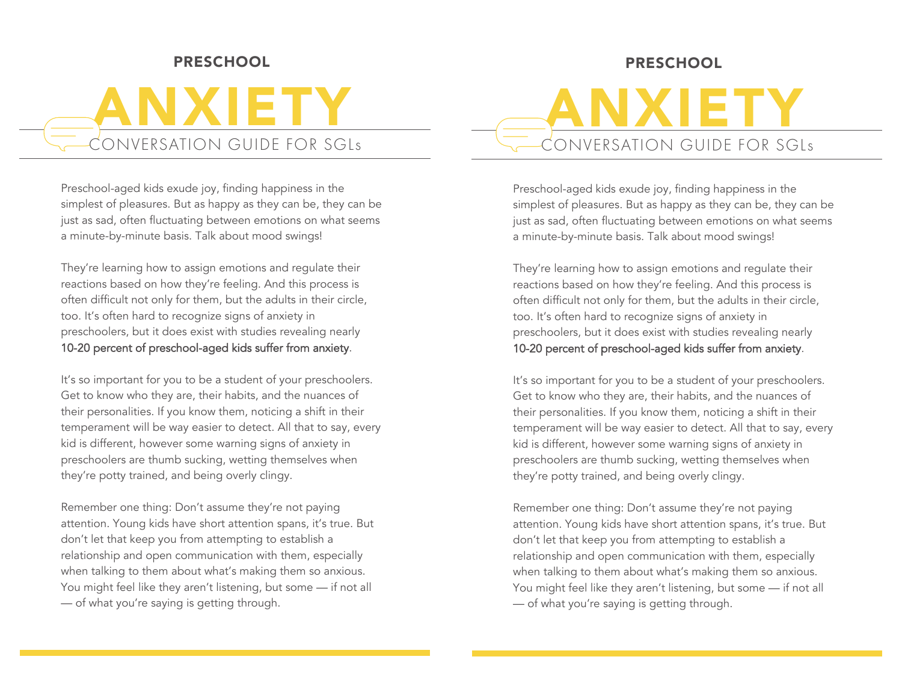# PRESCHOOL

# ANXIETY CONVERSATION GUIDE FOR SGLs

Preschool-aged kids exude joy, finding happiness in the simplest of pleasures. But as happy as they can be, they can be just as sad, often fluctuating between emotions on what seems a minute-by-minute basis. Talk about mood swings!

They're learning how to assign emotions and regulate their reactions based on how they're feeling. And this process is often difficult not only for them, but the adults in their circle, too. It's often hard to recognize signs of anxiety in preschoolers, but it does exist with studies revealing nearly 10-20 percent of preschool-aged kids suffer from anxiety.

It's so important for you to be a student of your preschoolers. Get to know who they are, their habits, and the nuances of their personalities. If you know them, noticing a shift in their temperament will be way easier to detect. All that to say, every kid is different, however some warning signs of anxiety in preschoolers are thumb sucking, wetting themselves when they're potty trained, and being overly clingy.

Remember one thing: Don't assume they're not paying attention. Young kids have short attention spans, it's true. But don't let that keep you from attempting to establish a relationship and open communication with them, especially when talking to them about what's making them so anxious. You might feel like they aren't listening, but some — if not all — of what you're saying is getting through.

# PRESCHOOL

ANXIETY CONVERSATION GUIDE FOR SGLs

Preschool-aged kids exude joy, finding happiness in the simplest of pleasures. But as happy as they can be, they can be just as sad, often fluctuating between emotions on what seems a minute-by-minute basis. Talk about mood swings!

They're learning how to assign emotions and regulate their reactions based on how they're feeling. And this process is often difficult not only for them, but the adults in their circle, too. It's often hard to recognize signs of anxiety in preschoolers, but it does exist with studies revealing nearly 10-20 percent of preschool-aged kids suffer from anxiety.

It's so important for you to be a student of your preschoolers. Get to know who they are, their habits, and the nuances of their personalities. If you know them, noticing a shift in their temperament will be way easier to detect. All that to say, every kid is different, however some warning signs of anxiety in preschoolers are thumb sucking, wetting themselves when they're potty trained, and being overly clingy.

Remember one thing: Don't assume they're not paying attention. Young kids have short attention spans, it's true. But don't let that keep you from attempting to establish a relationship and open communication with them, especially when talking to them about what's making them so anxious. You might feel like they aren't listening, but some — if not all — of what you're saying is getting through.